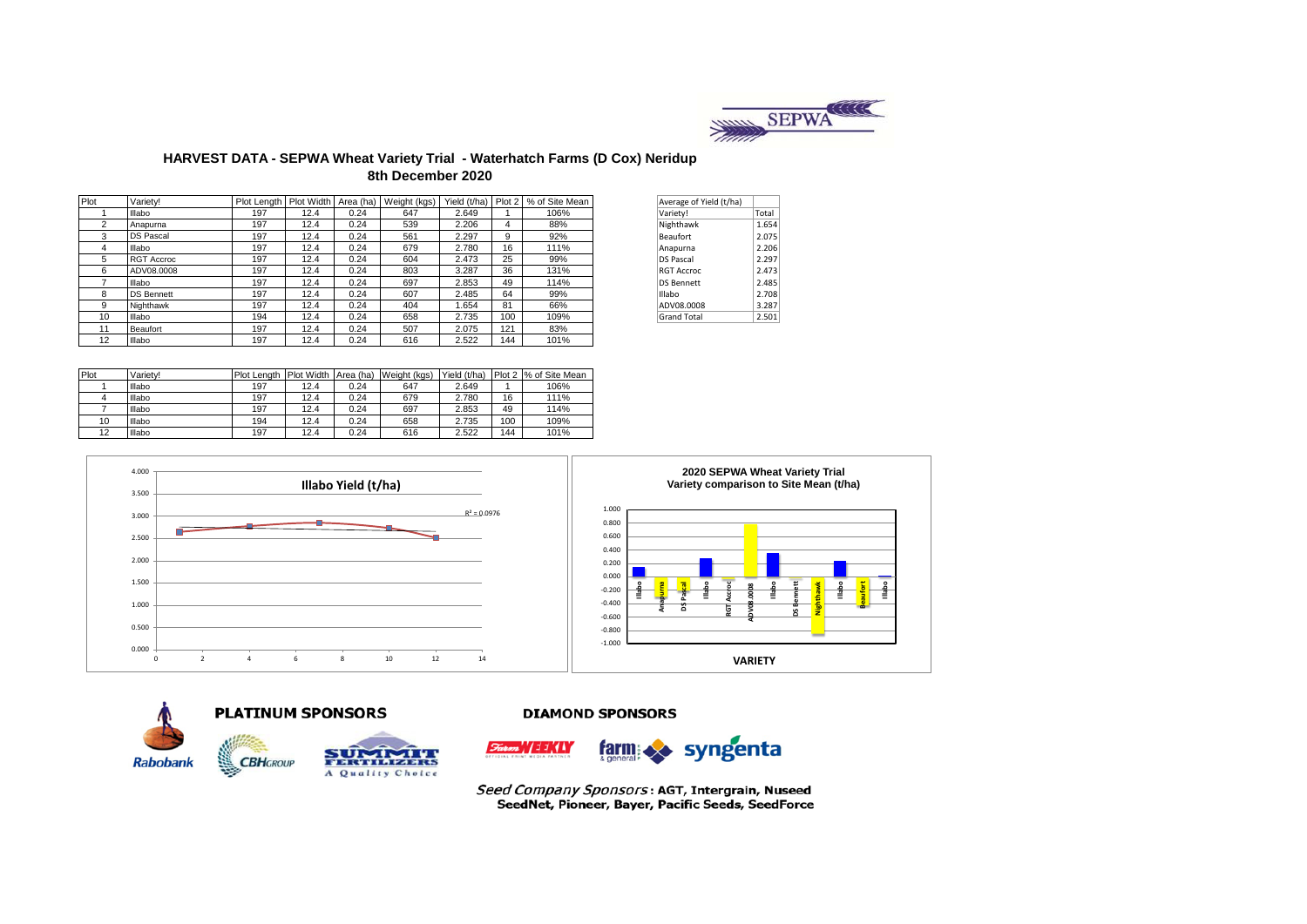

## **HARVEST DATA - SEPWA Wheat Variety Trial - Waterhatch Farms (D Cox) Neridup 8th December 2020**

| Plot | Variety!          | Plot Length Plot Width Area (ha) |      |      | Weight (kgs) | Yield (t/ha) |     | Plot 2 % of Site Mean | Average of Yield (t/ha) |       |
|------|-------------------|----------------------------------|------|------|--------------|--------------|-----|-----------------------|-------------------------|-------|
|      | Illabo            | 197                              | 12.4 | 0.24 | 647          | 2.649        |     | 106%                  | Variety!                | Total |
| 2    | Anapurna          | 197                              | 12.4 | 0.24 | 539          | 2.206        | 4   | 88%                   | Nighthawk               | 1.654 |
| 3    | <b>DS Pascal</b>  | 197                              | 12.4 | 0.24 | 561          | 2.297        | 9   | 92%                   | Beaufort                | 2.075 |
| 4    | Illabo            | 197                              | 12.4 | 0.24 | 679          | 2.780        | 16  | 111%                  | Anapurna                | 2.206 |
| 5    | <b>RGT Accroc</b> | 197                              | 12.4 | 0.24 | 604          | 2.473        | 25  | 99%                   | <b>DS Pascal</b>        | 2.297 |
| 6    | ADV08.0008        | 197                              | 12.4 | 0.24 | 803          | 3.287        | 36  | 131%                  | <b>RGT Accroc</b>       | 2.473 |
|      | Illabo            | 197                              | 12.4 | 0.24 | 697          | 2.853        | 49  | 114%                  | <b>DS Bennett</b>       | 2.485 |
| 8    | <b>DS Bennett</b> | 197                              | 12.4 | 0.24 | 607          | 2.485        | 64  | 99%                   | Illabo                  | 2.708 |
| 9    | Nighthawk         | 197                              | 12.4 | 0.24 | 404          | 1.654        | 81  | 66%                   | ADV08.0008              | 3.287 |
| 10   | Illabo            | 194                              | 12.4 | 0.24 | 658          | 2.735        | 100 | 109%                  | <b>Grand Total</b>      | 2.501 |
| 11   | Beaufort          | 197                              | 12.4 | 0.24 | 507          | 2.075        | 121 | 83%                   |                         |       |
| 12   | Illabo            | 197                              | 12.4 | 0.24 | 616          | 2.522        | 144 | 101%                  |                         |       |

| Average of Yield (t/ha) |       |
|-------------------------|-------|
| Variety!                | Total |
| Nighthawk               | 1.654 |
| <b>Beaufort</b>         | 2.075 |
| Anapurna                | 2.206 |
| <b>DS Pascal</b>        | 2.297 |
| <b>RGT Accroc</b>       | 2.473 |
| <b>DS Bennett</b>       | 2.485 |
| Illabo                  | 2.708 |
| ADV08.0008              | 3.287 |
| <b>Grand Total</b>      | 2.501 |

| Plot | Varietv! | Plot Lenath Plot Width |      | Area (ha) | Weight (kgs) | Yield (t/ha) |     | Plot 2 % of Site Mean |
|------|----------|------------------------|------|-----------|--------------|--------------|-----|-----------------------|
|      | Illabo   | 197                    | 12.4 | 0.24      | 647          | 2.649        |     | 106%                  |
|      | Illabo   | 197                    | 12.4 | 0.24      | 679          | 2.780        | 16  | 111%                  |
|      | Illabo   | 197                    | 12.4 | 0.24      | 697          | 2.853        | 49  | 114%                  |
| 10   | Illabo   | 194                    | 12.4 | 0.24      | 658          | 2.735        | 100 | 109%                  |
| 12   | Illabo   | 197                    | 12.4 | 0.24      | 616          | 2.522        | 144 | 101%                  |







## **DIAMOND SPONSORS**



Seed Company Sponsors: AGT, Intergrain, Nuseed SeedNet, Pioneer, Bayer, Pacific Seeds, SeedForce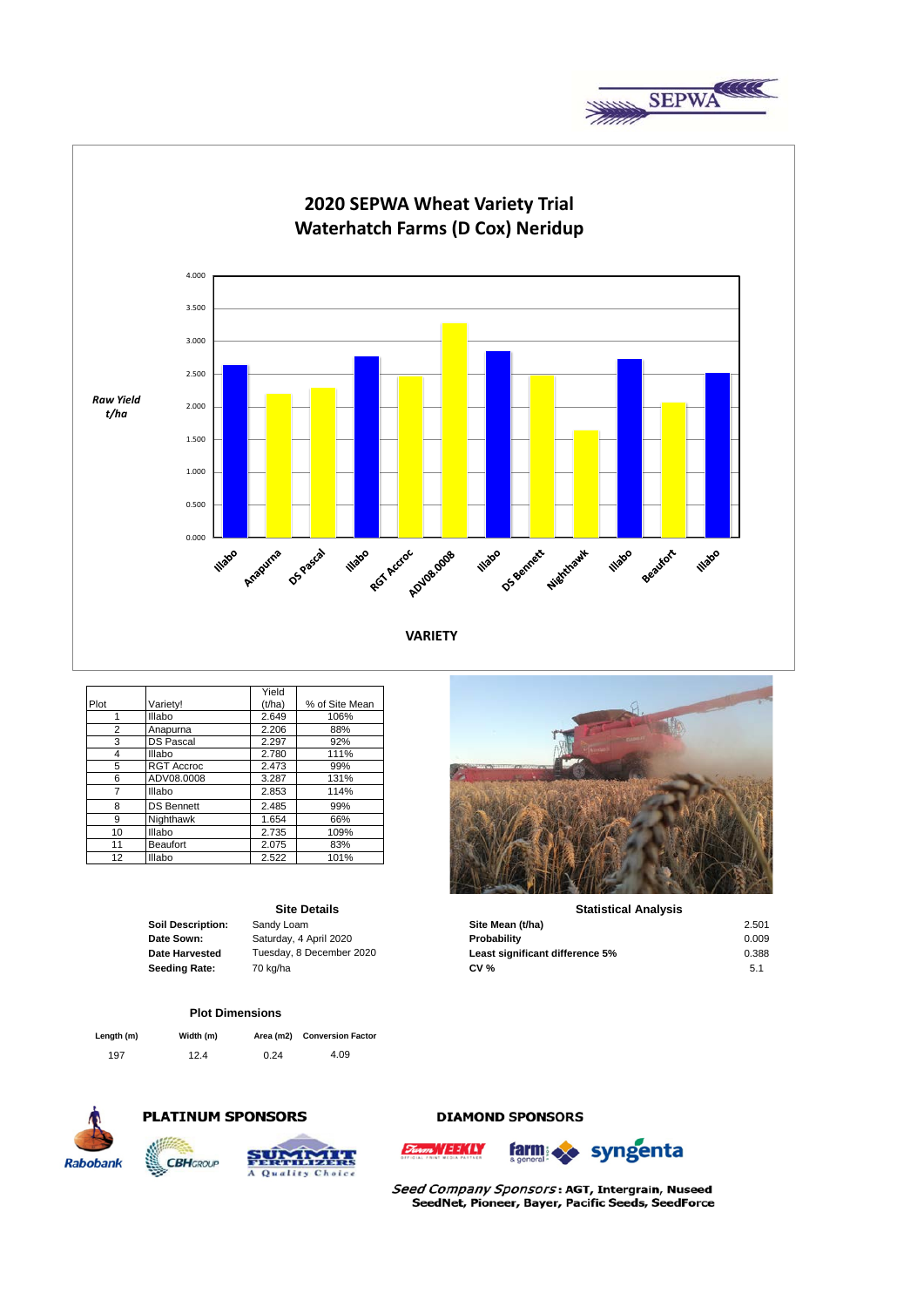



|      |                   | Yield  |                |
|------|-------------------|--------|----------------|
| Plot | Variety!          | (t/ha) | % of Site Mean |
|      | Illabo            | 2.649  | 106%           |
| 2    | Anapurna          | 2.206  | 88%            |
| 3    | <b>DS Pascal</b>  | 2.297  | 92%            |
| 4    | Illabo            | 2.780  | 111%           |
| 5    | <b>RGT Accroc</b> | 2.473  | 99%            |
| 6    | ADV08.0008        | 3.287  | 131%           |
| 7    | Illabo            | 2.853  | 114%           |
| 8    | <b>DS Bennett</b> | 2.485  | 99%            |
| 9    | Nighthawk         | 1.654  | 66%            |
| 10   | Illabo            | 2.735  | 109%           |
| 11   | <b>Beaufort</b>   | 2.075  | 83%            |
| 12   | Illabo            | 2.522  | 101%           |

### **Site Details**

### **Plot Dimensions**

| Length (m) | Width (m) |      | Area (m2) Conversion Factor |
|------------|-----------|------|-----------------------------|
| 197        | 12.4      | 0.24 | 4.09                        |



# **PLATINUM SPONSORS**

Q

**CBH**GROUP



## **DIAMOND SPONSORS**



Seed Company Sponsors: AGT, Intergrain, Nuseed SeedNet, Pioneer, Bayer, Pacific Seeds, SeedForce



#### **Statistical Analysis**

| <b>Soil Description:</b> | Sandy Loam               | Site Mean (t/ha)                | 2.501 |
|--------------------------|--------------------------|---------------------------------|-------|
| Date Sown:               | Saturday, 4 April 2020   | Probability                     | 0.009 |
| <b>Date Harvested</b>    | Tuesday, 8 December 2020 | Least significant difference 5% | 0.388 |
| Seeding Rate:            | 70 kg/ha                 | CV <sub>0</sub>                 | 5.1   |
|                          |                          |                                 |       |